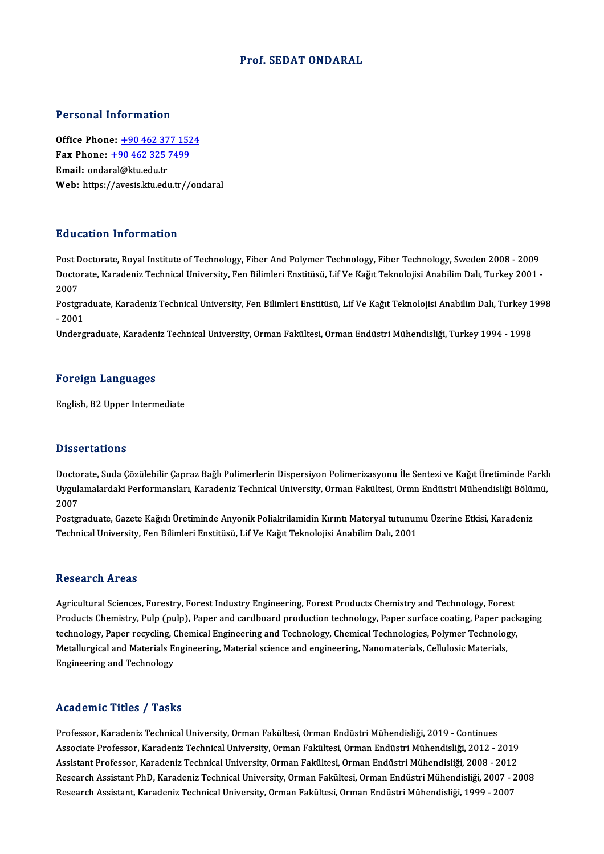#### Prof. SEDAT ONDARAL

#### Personal Information

Office Phone: +90 462 377 1524 Fax Phone: <u>+90 462 377 152</u><br>Fax Phone: <u>+90 462 325 7499</u><br>Fmail: endaml@hu.edu.tr Office Phone: <u>+90 462 37</u><br>Fax Phone: <u>+90 462 325 '</u><br>Email: onda[ral@ktu.edu.tr](tel:+90 462 325 7499) Fax Phone: <u>+90 462 325 7499</u><br>Email: ondaral@ktu.edu.tr<br>Web: https://avesis.ktu.edu.tr//ondaral

#### Education Information

E<mark>ducation Information</mark><br>Post Doctorate, Royal Institute of Technology, Fiber And Polymer Technology, Fiber Technology, Sweden 2008 - 2009<br>Doctorate Karadeniz Technical University, Fen Bilimleri Enstitüsü, Lif Ve Kağıt Telm Du u outror Trivor Inutrori<br>Post Doctorate, Royal Institute of Technology, Fiber And Polymer Technology, Fiber Technology, Sweden 2008 - 2009<br>Doctorate, Karadeniz Technical University, Fen Bilimleri Enstitüsü, Lif Ve Kağıt Post <mark>L</mark><br>Docto<br>2007<br>Post**e**r Doctorate, Karadeniz Technical University, Fen Bilimleri Enstitüsü, Lif Ve Kağıt Teknolojisi Anabilim Dalı, Turkey 2001 -<br>2007<br>Postgraduate, Karadeniz Technical University, Fen Bilimleri Enstitüsü, Lif Ve Kağıt Teknolojisi

2007<br>Postgra<br>- 2001<br>Underg Postgraduate, Karadeniz Technical University, Fen Bilimleri Enstitüsü, Lif Ve Kağıt Teknolojisi Anabilim Dalı, Turkey 1<br>- 2001<br>Undergraduate, Karadeniz Technical University, Orman Fakültesi, Orman Endüstri Mühendisliği, Tu

Undergraduate, Karadeniz Technical University, Orman Fakültesi, Orman Endüstri Mühendisliği, Turkey 1994 - 1998<br>Foreign Languages

English,B2Upper Intermediate

#### **Dissertations**

Doctorate, Suda Çözülebilir Çapraz Bağlı Polimerlerin Dispersiyon Polimerizasyonu İle Sentezi ve Kağıt Üretiminde Farklı D'isser tatre'ns<br>Doctorate, Suda Çözülebilir Çapraz Bağlı Polimerlerin Dispersiyon Polimerizasyonu İle Sentezi ve Kağıt Üretiminde Farkl<br>Uygulamalardaki Performansları, Karadeniz Technical University, Orman Fakültesi, Ormn Docto<br>Uyguli<br>2007<br>Postar Uygulamalardaki Performansları, Karadeniz Technical University, Orman Fakültesi, Ormn Endüstri Mühendisliği Bölün<br>2007<br>Postgraduate, Gazete Kağıdı Üretiminde Anyonik Poliakrilamidin Kırıntı Materyal tutunumu Üzerine Etkisi

2007<br>Postgraduate, Gazete Kağıdı Üretiminde Anyonik Poliakrilamidin Kırıntı Materyal tutunumu Üzerine Etkisi, Karadeniz<br>Technical University, Fen Bilimleri Enstitüsü, Lif Ve Kağıt Teknolojisi Anabilim Dalı, 2001

#### Research Areas

Research Areas<br>Agricultural Sciences, Forestry, Forest Industry Engineering, Forest Products Chemistry and Technology, Forest<br>Products Chemistry, Puln (puln), Paper and cardboard production technology, Paper surface costin Resear en In eas<br>Agricultural Sciences, Forestry, Forest Industry Engineering, Forest Products Chemistry and Technology, Forest<br>Products Chemistry, Pulp (pulp), Paper and cardboard production technology, Paper surface coat Agricultural Sciences, Forestry, Forest Industry Engineering, Forest Products Chemistry and Technology, Forest<br>Products Chemistry, Pulp (pulp), Paper and cardboard production technology, Paper surface coating, Paper pack<br>t Products Chemistry, Pulp (pulp), Paper and cardboard production technology, Paper surface coating, Paper pa<br>technology, Paper recycling, Chemical Engineering and Technology, Chemical Technologies, Polymer Technolog<br>Metallu technology, Paper recycling, (<br>Metallurgical and Materials E<br>Engineering and Technology Engineering and Technology<br>Academic Titles / Tasks

Professor, Karadeniz Technical University, Orman Fakültesi, Orman Endüstri Mühendisliği, 2019 - Continues Associate Articus 7 Austis<br>Professor, Karadeniz Technical University, Orman Fakültesi, Orman Endüstri Mühendisliği, 2019 - Continues<br>Associate Professor, Karadeniz Technical University, Orman Fakültesi, Orman Endüstri Mühe Professor, Karadeniz Technical University, Orman Fakültesi, Orman Endüstri Mühendisliği, 2019 - Continues<br>Associate Professor, Karadeniz Technical University, Orman Fakültesi, Orman Endüstri Mühendisliği, 2012 - 2019<br>Assis Assistant Professor, Karadeniz Technical University, Orman Fakültesi, Orman Endüstri Mühendisliği, 2008 - 2012<br>Research Assistant PhD, Karadeniz Technical University, Orman Fakültesi, Orman Endüstri Mühendisliği, 2007 - 20 Research Assistant, Karadeniz Technical University, Orman Fakültesi, Orman Endüstri Mühendisliği, 1999 - 2007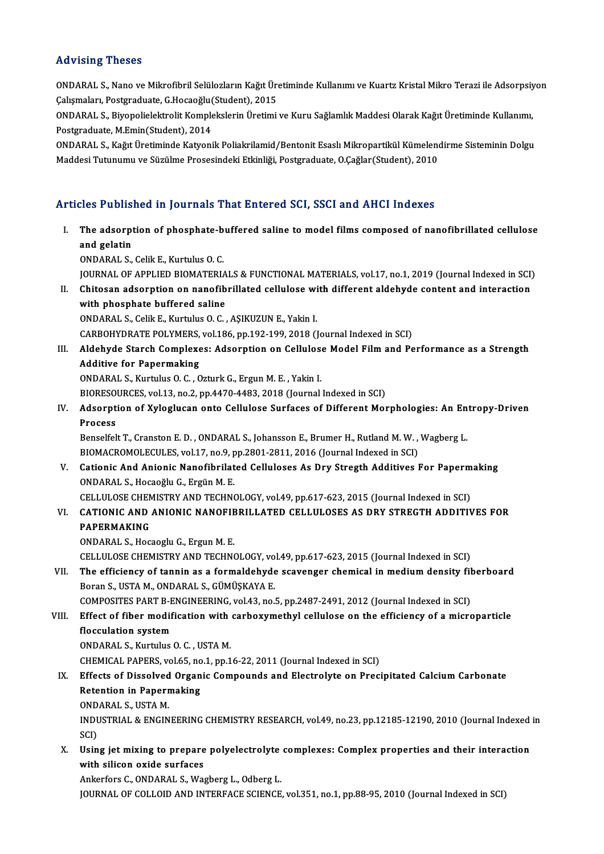#### Advising Theses

Advising Theses<br>ONDARAL S., Nano ve Mikrofibril Selülozların Kağıt Üretiminde Kullanımı ve Kuartz Kristal Mikro Terazi ile Adsorpsiyon<br>Calismaları, Pestaraduata G.Heseoğlu(Student), 2015 raa vasıng "rasses"<br>ONDARAL S., Nano ve Mikrofibril Selülozların Kağıt Üre<br>Çalışmaları, Postgraduate, G.Hocaoğlu(Student), 2015<br>ONDARAL S. Bivonolialektrolit Komplekslerin Üretimi ONDARAL S., Nano ve Mikrofibril Selülozların Kağıt Üretiminde Kullanımı ve Kuartz Kristal Mikro Terazi ile Adsorpsiy<br>Çalışmaları, Postgraduate, G.Hocaoğlu(Student), 2015<br>ONDARAL S., Biyopolielektrolit Komplekslerin Üretimi

Çalışmaları, Postgraduate, G.Hocaoğlu(<br>ONDARAL S., Biyopolielektrolit Komple<br>Postgraduate, M.Emin(Student), 2014<br>ONDARAL S. Koğrt Ünetiminde Katyoni ONDARAL S., Biyopolielektrolit Komplekslerin Üretimi ve Kuru Sağlamlık Maddesi Olarak Kağıt Üretiminde Kullanımı,<br>Postgraduate, M.Emin(Student), 2014<br>ONDARAL S., Kağıt Üretiminde Katyonik Poliakrilamid/Bentonit Esaslı Mikr

Postgraduate, M.Emin(Student), 2014<br>ONDARAL S., Kağıt Üretiminde Katyonik Poliakrilamid/Bentonit Esaslı Mikropartikül Kümelendirme Sisteminin Dolgu<br>Maddesi Tutunumu ve Süzülme Prosesindeki Etkinliği, Postgraduate, O.Çağlar

#### Articles Published in Journals That Entered SCI, SSCI and AHCI Indexes

rticles Published in Journals That Entered SCI, SSCI and AHCI Indexes<br>I. The adsorption of phosphate-buffered saline to model films composed of nanofibrillated cellulose The adsorpt<br>and gelatin<br>
ONDARALS and gelatin<br>ONDARAL S., Celik E., Kurtulus O. C. and gelatin<br>ONDARAL S., Celik E., Kurtulus O. C.<br>JOURNAL OF APPLIED BIOMATERIALS & FUNCTIONAL MATERIALS, vol.17, no.1, 2019 (Journal Indexed in SCI)<br>Chitasan adsorption on nanofibrillated sellulese with different aldebyde ONDARAL S., Celik E., Kurtulus O. C.<br>I . GOURNAL OF APPLIED BIOMATERIALS & FUNCTIONAL MATERIALS, vol.17, no.1, 2019 (Journal Indexed in SCI)<br>II. Chitosan adsorption on nanofibrillated cellulose with different aldehyde cont JOURNAL OF APPLIED BIOMATERIA<br>Chitosan adsorption on nanofib<br>with phosphate buffered saline<br>ONDARAL S. ColligE. Kurtulus O. C. II. Chitosan adsorption on nanofibrillated cellulose with different aldehyde content and interaction<br>with phosphate buffered saline<br>ONDARAL S., Celik E., Kurtulus O. C. , ASIKUZUN E., Yakin I. CARBOHYDRATE POLYMERS, vol.186, pp.192-199, 2018 (Journal Indexed in SCI) ONDARAL S., Celik E., Kurtulus O. C. , AŞIKUZUN E., Yakin I.<br>CARBOHYDRATE POLYMERS, vol.186, pp.192-199, 2018 (Journal Indexed in SCI)<br>III. Aldehyde Starch Complexes: Adsorption on Cellulose Model Film and Performance as a CARBOHYDRATE POLYMERS,<br>Aldehyde Starch Complexe<br>Additive for Papermaking Aldehyde Starch Complexes: Adsorption on Cellulos<br>Additive for Papermaking<br>ONDARAL S., Kurtulus O. C. , Ozturk G., Ergun M. E. , Yakin I.<br>PIOPESQUPCES .vol.12, no.2, np.4470,4492,2019 (Journal Additive for Papermaking<br>ONDARAL S., Kurtulus O. C. , Ozturk G., Ergun M. E. , Yakin I.<br>BIORESOURCES, vol.13, no.2, pp.4470-4483, 2018 (Journal Indexed in SCI)<br>Adeemtien of Yvleslusen ente Gellulese Surfasse of Different M ONDARAL S., Kurtulus O. C. , Ozturk G., Ergun M. E. , Yakin I.<br>BIORESOURCES, vol.13, no.2, pp.4470-4483, 2018 (Journal Indexed in SCI)<br>IV. Adsorption of Xyloglucan onto Cellulose Surfaces of Different Morphologies: An Entr BIORESO<br>Adsorpt<br>Process Adsorption of Xyloglucan onto Cellulose Surfaces of Different Morphologies: An En<br>Process<br>Benselfelt T., Cranston E. D. , ONDARAL S., Johansson E., Brumer H., Rutland M. W. , Wagberg L.<br>BIOMACROMOLECULES vol.17 no.9 nn.290 Process<br>Benselfelt T., Cranston E. D. , ONDARAL S., Johansson E., Brumer H., Rutland M. W. , Wagberg L.<br>BIOMACROMOLECULES, vol.17, no.9, pp.2801-2811, 2016 (Journal Indexed in SCI) Benselfelt T., Cranston E. D., ONDARAL S., Johansson E., Brumer H., Rutland M. W., Wagberg L.<br>BIOMACROMOLECULES, vol.17, no.9, pp.2801-2811, 2016 (Journal Indexed in SCI)<br>V. Cationic And Anionic Nanofibrilated Celluloses A ONDARAL S., Hocaoğlu G., Ergün M. E. Cationic And Anionic Nanofibrilated Celluloses As Dry Stregth Additives For Paperm<br>ONDARAL S., Hocaoğlu G., Ergün M. E.<br>CELLULOSE CHEMISTRY AND TECHNOLOGY, vol.49, pp.617-623, 2015 (Journal Indexed in SCI)<br>CATIONIC AND ANI VI. CATIONIC AND ANIONIC NANOFIBRILLATED CELLULOSES AS DRY STREGTH ADDITIVES FOR CELLULOSE CHEMISTRY AND TECHNOLOGY, vol.49, pp.617-623, 2015 (Journal Indexed in SCI) ONDARAL S.,HocaogluG.,ErgunM.E. CELLULOSECHEMISTRYANDTECHNOLOGY,vol.49,pp.617-623,2015 (Journal Indexed inSCI) ONDARAL S., Hocaoglu G., Ergun M. E.<br>CELLULOSE CHEMISTRY AND TECHNOLOGY, vol.49, pp.617-623, 2015 (Journal Indexed in SCI)<br>VII. The efficiency of tannin as a formaldehyde scavenger chemical in medium density fiberboard<br>Per CELLULOSE CHEMISTRY AND TECHNOLOGY, vo<br>The efficiency of tannin as a formaldehyde<br>Boran S., USTA M., ONDARAL S., GÜMÜŞKAYA E.<br>COMPOSITES PAPT P. ENCINEERING vol.43, po. The efficiency of tannin as a formaldehyde scavenger chemical in medium density fil<br>Boran S., USTA M., ONDARAL S., GÜMÜŞKAYA E.<br>COMPOSITES PART B-ENGINEERING, vol.43, no.5, pp.2487-2491, 2012 (Journal Indexed in SCI)<br>Effec Boran S., USTA M., ONDARAL S., GÜMÜŞKAYA E.<br>COMPOSITES PART B-ENGINEERING, vol.43, no.5, pp.2487-2491, 2012 (Journal Indexed in SCI)<br>VIII. Effect of fiber modification with carboxymethyl cellulose on the efficiency of a mi COMPOSITES PART B-E<br>Effect of fiber modif<br>flocculation system<br>ONDARAL S. Kurtulus Effect of fiber modification with<br>flocculation system<br>ONDARAL S., Kurtulus O. C. , USTA M.<br>CHEMICAL BARERS vol. 65, po. 1, pp. 1 flocculation system<br>ONDARAL S., Kurtulus O. C. , USTA M.<br>CHEMICAL PAPERS, vol.65, no.1, pp.16-22, 2011 (Journal Indexed in SCI)<br>Effects of Dissolved Oxsanis Compounds and Electrolyte on Brasi ONDARAL S., Kurtulus O. C. , USTA M.<br>CHEMICAL PAPERS, vol.65, no.1, pp.16-22, 2011 (Journal Indexed in SCI)<br>IX. Effects of Dissolved Organic Compounds and Electrolyte on Precipitated Calcium Carbonate<br>Patention in Panarmak CHEMICAL PAPERS, vol.65, no<br>Effects of Dissolved Organ<br>Retention in Papermaking<br>ONDAPALS USTA M Effects of Dissolved<br>Retention in Paperr<br>ONDARAL S., USTA M.<br>INDUSTRIAL & ENCIN Retention in Papermaking<br>ONDARAL S., USTA M.<br>INDUSTRIAL & ENGINEERING CHEMISTRY RESEARCH, vol.49, no.23, pp.12185-12190, 2010 (Journal Indexed in<br>SCI) ONDARAL S., USTA M. INDUSTRIAL & ENGINEERING CHEMISTRY RESEARCH, vol.49, no.23, pp.12185-12190, 2010 (Journal Indexed<br>SCI)<br>X. Using jet mixing to prepare polyelectrolyte complexes: Complex properties and their interaction<br>with silicar avide s SCI)<br>Using jet mixing to prepare<br>with silicon oxide surfaces<br>Ankerfors C. ONDARALS. We Using jet mixing to prepare polyelectrolyte<br>with silicon oxide surfaces<br>Ankerfors C., ONDARAL S., Wagberg L., Odberg L.<br>JOUPNAL OF COLLOID AND INTERFACE SCIENCE with silicon oxide surfaces<br>Ankerfors C., ONDARAL S., Wagberg L., Odberg L.<br>JOURNAL OF COLLOID AND INTERFACE SCIENCE, vol.351, no.1, pp.88-95, 2010 (Journal Indexed in SCI)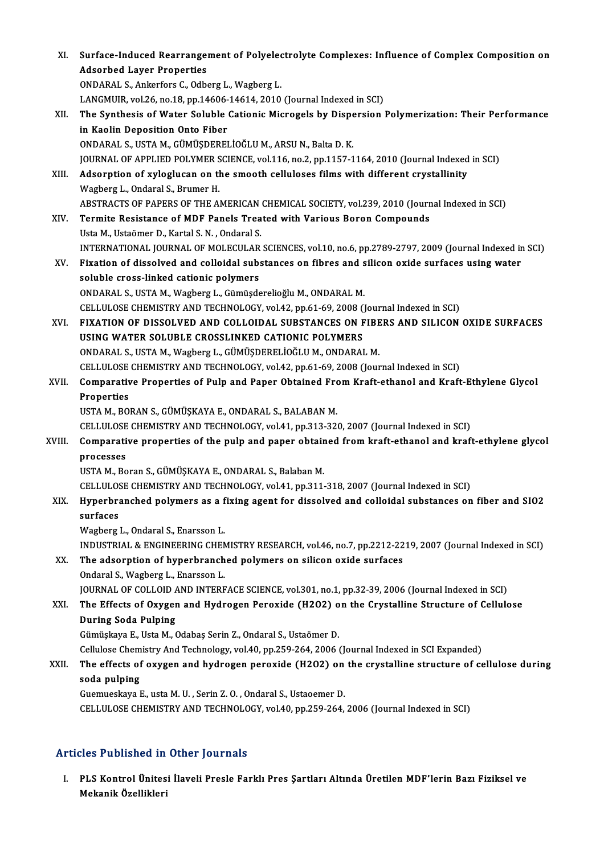| XI.    | Surface-Induced Rearrangement of Polyelectrolyte Complexes: Influence of Complex Composition on                                          |
|--------|------------------------------------------------------------------------------------------------------------------------------------------|
|        | <b>Adsorbed Layer Properties</b>                                                                                                         |
|        | ONDARAL S., Ankerfors C., Odberg L., Wagberg L.                                                                                          |
|        | LANGMUIR, vol.26, no.18, pp.14606-14614, 2010 (Journal Indexed in SCI)                                                                   |
| XII.   | The Synthesis of Water Soluble Cationic Microgels by Dispersion Polymerization: Their Performance                                        |
|        | in Kaolin Deposition Onto Fiber                                                                                                          |
|        | ONDARAL S., USTA M., GÜMÜŞDERELİOĞLU M., ARSU N., Balta D. K.                                                                            |
|        | JOURNAL OF APPLIED POLYMER SCIENCE, vol.116, no.2, pp.1157-1164, 2010 (Journal Indexed in SCI)                                           |
| XIII.  | Adsorption of xyloglucan on the smooth celluloses films with different crystallinity                                                     |
|        | Wagberg L., Ondaral S., Brumer H.                                                                                                        |
|        | ABSTRACTS OF PAPERS OF THE AMERICAN CHEMICAL SOCIETY, vol.239, 2010 (Journal Indexed in SCI)                                             |
| XIV.   | Termite Resistance of MDF Panels Treated with Various Boron Compounds                                                                    |
|        | Usta M., Ustaömer D., Kartal S. N., Ondaral S.                                                                                           |
|        | INTERNATIONAL JOURNAL OF MOLECULAR SCIENCES, vol.10, no.6, pp.2789-2797, 2009 (Journal Indexed in SCI)                                   |
| XV.    | Fixation of dissolved and colloidal substances on fibres and silicon oxide surfaces using water                                          |
|        | soluble cross-linked cationic polymers                                                                                                   |
|        | ONDARAL S., USTA M., Wagberg L., Gümüşderelioğlu M., ONDARAL M.                                                                          |
|        | CELLULOSE CHEMISTRY AND TECHNOLOGY, vol.42, pp.61-69, 2008 (Journal Indexed in SCI)                                                      |
| XVI.   | FIXATION OF DISSOLVED AND COLLOIDAL SUBSTANCES ON FIBERS AND SILICON OXIDE SURFACES<br>USING WATER SOLUBLE CROSSLINKED CATIONIC POLYMERS |
|        | ONDARAL S., USTA M., Wagberg L., GÜMÜŞDERELİOĞLU M., ONDARAL M.                                                                          |
|        | CELLULOSE CHEMISTRY AND TECHNOLOGY, vol.42, pp.61-69, 2008 (Journal Indexed in SCI)                                                      |
| XVII.  | Comparative Properties of Pulp and Paper Obtained From Kraft-ethanol and Kraft-Ethylene Glycol                                           |
|        | Properties                                                                                                                               |
|        | USTA M., BORAN S., GÜMÜŞKAYA E., ONDARAL S., BALABAN M.                                                                                  |
|        | CELLULOSE CHEMISTRY AND TECHNOLOGY, vol.41, pp.313-320, 2007 (Journal Indexed in SCI)                                                    |
| XVIII. | Comparative properties of the pulp and paper obtained from kraft-ethanol and kraft-ethylene glycol                                       |
|        | processes                                                                                                                                |
|        | USTA M., Boran S., GÜMÜŞKAYA E., ONDARAL S., Balaban M.                                                                                  |
|        | CELLULOSE CHEMISTRY AND TECHNOLOGY, vol.41, pp.311-318, 2007 (Journal Indexed in SCI)                                                    |
| XIX.   | Hyperbranched polymers as a fixing agent for dissolved and colloidal substances on fiber and SIO2                                        |
|        | surfaces                                                                                                                                 |
|        | Wagberg L., Ondaral S., Enarsson L.                                                                                                      |
|        | INDUSTRIAL & ENGINEERING CHEMISTRY RESEARCH, vol.46, no.7, pp.2212-2219, 2007 (Journal Indexed in SCI)                                   |
| XX.    | The adsorption of hyperbranched polymers on silicon oxide surfaces                                                                       |
|        | Ondaral S., Wagberg L., Enarsson L.                                                                                                      |
|        | JOURNAL OF COLLOID AND INTERFACE SCIENCE, vol.301, no.1, pp.32-39, 2006 (Journal Indexed in SCI)                                         |
| XXI.   | The Effects of Oxygen and Hydrogen Peroxide (H2O2) on the Crystalline Structure of Cellulose                                             |
|        | <b>During Soda Pulping</b>                                                                                                               |
|        | Gümüşkaya E., Usta M., Odabaş Serin Z., Ondaral S., Ustaömer D.                                                                          |
|        | Cellulose Chemistry And Technology, vol.40, pp.259-264, 2006 (Journal Indexed in SCI Expanded)                                           |
| XXII.  | The effects of oxygen and hydrogen peroxide (H2O2) on the crystalline structure of cellulose during                                      |
|        | soda pulping                                                                                                                             |
|        | Guemueskaya E., usta M. U., Serin Z. O., Ondaral S., Ustaoemer D.                                                                        |
|        | CELLULOSE CHEMISTRY AND TECHNOLOGY, vol.40, pp.259-264, 2006 (Journal Indexed in SCI)                                                    |
|        |                                                                                                                                          |

### Articles Published in Other Journals

rticles Published in Other Journals<br>I. PLS Kontrol Ünitesi İlaveli Presle Farklı Pres Şartları Altında Üretilen MDF'lerin Bazı Fiziksel ve<br>Mekanik Özellikleri mes 1 denencu m<br>PLS Kontrol Ünites<br>Mekanik Özellikleri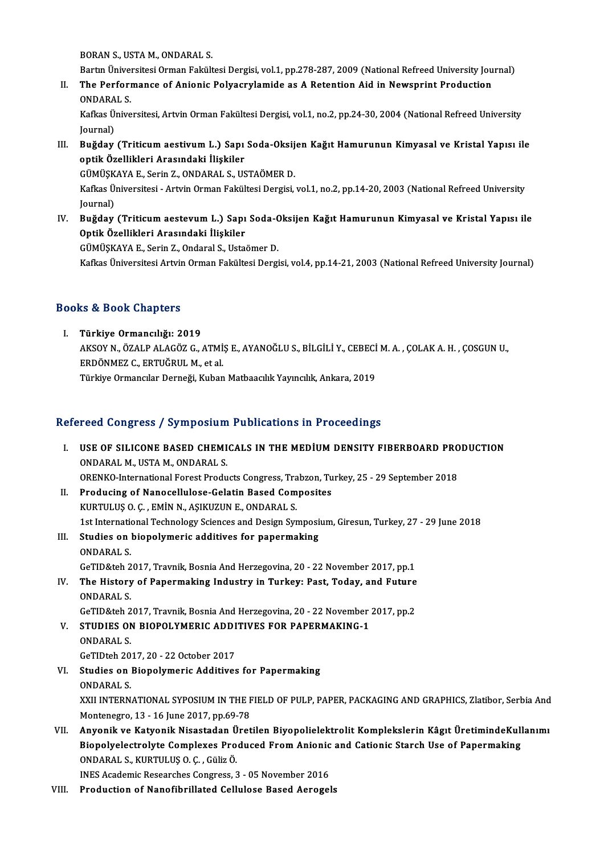BORANS.,USTAM.,ONDARAL S.

Bartın Üniversitesi Orman Fakültesi Dergisi, vol.1, pp.278-287, 2009 (National Refreed University Journal)

BORAN S., USTA M., ONDARAL S.<br>Bartın Üniversitesi Orman Fakültesi Dergisi, vol.1, pp.278-287, 2009 (National Refreed University Jou<br>II. The Performance of Anionic Polyacrylamide as A Retention Aid in Newsprint Producti Bartın Ünivel<br>**The Perfori**<br>ONDARAL S.<br>Kefkes Ünive The Performance of Anionic Polyacrylamide as A Retention Aid in Newsprint Production<br>ONDARAL S.<br>Kafkas Üniversitesi, Artvin Orman Fakültesi Dergisi, vol.1, no.2, pp.24-30, 2004 (National Refreed University<br>Journal)

ONDARA<br>Kafkas Ü<br>Journal)<br>Pu<del>ğd</del>ay Kafkas Üniversitesi, Artvin Orman Fakültesi Dergisi, vol.1, no.2, pp.24-30, 2004 (National Refreed University<br>Journal)<br>III. Buğday (Triticum aestivum L.) Sapı Soda-Oksijen Kağıt Hamurunun Kimyasal ve Kristal Yapısı ile<br>Ant

Journal)<br>Buğday (Triticum aestivum L.) Sapı<br>optik Özellikleri Arasındaki İlişkiler<br>CÜMÜSKAYA E. Serin Z. ONDARAL S. US Buğday (Triticum aestivum L.) Sapı Soda-Oksij<br>optik Özellikleri Arasındaki İlişkiler<br>GÜMÜŞKAYA E., Serin Z., ONDARAL S., USTAÖMER D.<br>Kafkes Üniversitesi, Artvin Orman Fakültesi Dersisi

optik Özellikleri Arasındaki İlişkiler<br>GÜMÜŞKAYA E., Serin Z., ONDARAL S., USTAÖMER D.<br>Kafkas Üniversitesi - Artvin Orman Fakültesi Dergisi, vol.1, no.2, pp.14-20, 2003 (National Refreed University GÜMÜŞK<br>Kafkas Ü<br>Journal)<br>Puğday Kafkas Üniversitesi - Artvin Orman Fakültesi Dergisi, vol.1, no.2, pp.14-20, 2003 (National Refreed University<br>Journal)<br>IV. Buğday (Triticum aestevum L.) Sapı Soda-Oksijen Kağıt Hamurunun Kimyasal ve Kristal Yapısı ile<br>Ont

Journal)<br>IV. Buğday (Triticum aestevum L.) Sapı Soda-Oksijen Kağıt Hamurunun Kimyasal ve Kristal Yapısı ile<br>Optik Özellikleri Arasındaki İlişkiler

GÜMÜŞKAYAE.,SerinZ.,OndaralS.,UstaömerD.

Kafkas Üniversitesi Artvin Orman Fakültesi Dergisi, vol.4, pp.14-21, 2003 (National Refreed University Journal)

### Books&Book Chapters

I. Türkiye Ormancılığı: 2019 LS & BSON SHAPOSS<br>Türkiye Ormancılığı: 2019<br>AKSOY N., ÖZALP ALAGÖZ G., ATMİŞ E., AYANOĞLU S., BİLGİLİ Y., CEBECİ M. A. , ÇOLAK A. H. , ÇOSGUN U.,<br>FRDÖNMEZ G. FRTUĞRUL M. et al ERDÖNMEZ C., ERTUĞRUL M., et al.<br>Türkiye Ormancılar Derneği, Kuban Matbaacılık Yayıncılık, Ankara, 2019 AKSOY N., ÖZALP ALAGÖZ G., ATMİŞ E., AYANOĞLU S., BİLGİLİ Y., CEBECİ<br>ERDÖNMEZ C., ERTUĞRUL M., et al.<br>Türkiye Ormancılar Derneği, Kuban Matbaacılık Yayıncılık, Ankara, 2019

### Refereed Congress / Symposium Publications in Proceedings

- efereed Congress / Symposium Publications in Proceedings<br>I. USE OF SILICONE BASED CHEMICALS IN THE MEDIUM DENSITY FIBERBOARD PRODUCTION **THE CONDITIONS OF SILICONE BASED CHEMI<br>
ONDARAL M., USTA M., ONDARAL S.<br>
OPENKO International Equat Product** ORENKO-InternationalForestProductsCongress,Trabzon,Turkey,25 -29 September 2018 ONDARAL M., USTA M., ONDARAL S.<br>ORENKO-International Forest Products Congress, Trabzon, Tu<br>II. Producing of Nanocellulose-Gelatin Based Composites<br>ELIDTULUS O G. EMIN N. ASIVIZIJN E. ONDARAL S. ORENKO-International Forest Products Congress, Tra<br>Producing of Nanocellulose-Gelatin Based Com<br>KURTULUŞ O.Ç. , EMİN N., AŞIKUZUN E., ONDARAL S.<br>1st International Technology Sciences and Decisn Syr
- KURTULUȘ O. Ç. , EMİN N., AŞIKUZUN E., ONDARAL S.<br>1st International Technology Sciences and Design Symposium, Giresun, Turkey, 27 29 June 2018 KURTULUŞ O. Ç. , EMİN N., AŞIKUZUN E., ONDARAL S.<br>1st International Technology Sciences and Design Symposi<br>III. Studies on biopolymeric additives for papermaking<br>ONDARAL S.
- 1st Internation<br>Studies on<br>ONDARAL S.<br>Co<sup>rring</sup>tab 2 ONDARAL S.<br>GeTID&teh 2017, Travnik, Bosnia And Herzegovina, 20 - 22 November 2017, pp.1 ONDARAL S.<br>GeTID&teh 2017, Travnik, Bosnia And Herzegovina, 20 - 22 November 2017, pp.1<br>IV. The History of Papermaking Industry in Turkey: Past, Today, and Future<br>ONDARALS
- GeTID&teh 2<br>The History<br>ONDARAL S.<br>CeTID&teb 2 The History of Papermaking Industry in Turkey: Past, Today, and Future<br>ONDARAL S.<br>GeTID&teh 2017, Travnik, Bosnia And Herzegovina, 20 - 22 November 2017, pp.2<br>STUDIES ON PIOPOLYMERIC ADDITIVES FOR PARERMAKING 1 ONDARAL S.<br>GeTID&teh 2017, Travnik, Bosnia And Herzegovina, 20 - 22 November<br>V. STUDIES ON BIOPOLYMERIC ADDITIVES FOR PAPERMAKING-1<br>ONDARALS

- GeTID&teh 2017, Travnik, Bosnia And Herzegovina, 20 22 November 2017, pp.2<br>STUDIES ON BIOPOLYMERIC ADDITIVES FOR PAPERMAKING-1<br>ONDARAL S.<br>GeTIDteh 2017, 20 22 October 2017 STUDIES ON BIOPOLYMERIC ADDI<br>ONDARAL S.<br>GeTIDteh 2017, 20 - 22 October 2017<br>Studies on Bionolymeric Additives ONDARAL S.<br>GeTIDteh 2017, 20 - 22 October 2017<br>VI. Studies on Biopolymeric Additives for Papermaking<br>ONDARALS
- **GeTIDteh 20<br>Studies on 1<br>ONDARAL S.<br>VYU INTEDN** ONDARAL S.<br>XXII INTERNATIONAL SYPOSIUM IN THE FIELD OF PULP, PAPER, PACKAGING AND GRAPHICS, Zlatibor, Serbia And Montenegro, 13 - 16 June 2017, pp.69-78 XXII INTERNATIONAL SYPOSIUM IN THE FIELD OF PULP, PAPER, PACKAGING AND GRAPHICS, Zlatibor, Serbia And<br>Montenegro, 13 - 16 June 2017, pp.69-78<br>VII. Anyonik ve Katyonik Nisastadan Üretilen Biyopolielektrolit Komplekslerin Kâ
- Montenegro, 13 16 June 2017, pp.69-78<br>Anyonik ve Katyonik Nisastadan Üretilen Biyopolielektrolit Komplekslerin Kâgıt ÜretimindeKull<br>Biopolyelectrolyte Complexes Produced From Anionic and Cationic Starch Use of Papermakin Anyonik ve Katyonik Nisastadan Ü<br>Biopolyelectrolyte Complexes Pro<br>ONDARAL S., KURTULUŞ O. Ç. , Güliz Ö.<br>INES Acedemia Beseersbes Congress S Biopolyelectrolyte Complexes Produced From Anionic and Cationic Starch Use of Papermaking<br>ONDARAL S., KURTULUŞ O. Ç. , Güliz Ö.<br>INES Academic Researches Congress, 3 - 05 November 2016

VIII. Production of Nanofibrillated Cellulose Based Aerogels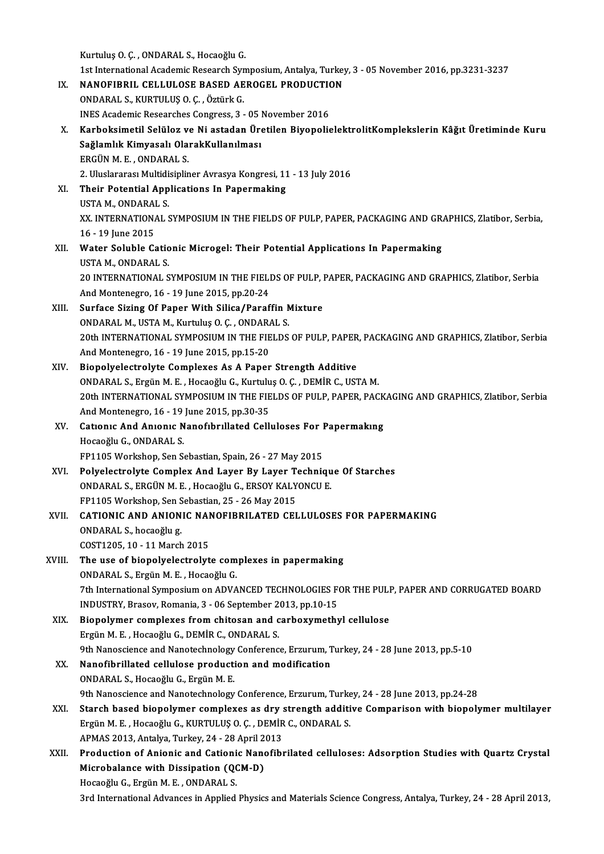KurtuluşO.Ç. ,ONDARAL S.,HocaoğluG.

1st International Academic Research Symposium, Antalya, Turkey, 3 - 05 November 2016, pp.3231-3237

# Kurtuluş O. Ç. , ONDARAL S., Hocaoğlu G.<br>1st International Academic Research Symposium, Antalya, Turkey<br>IX. NANOFIBRIL CELLULOSE BASED AEROGEL PRODUCTION NANOFIBRIL CELLULOSE BASED AEROGEL PRODUCTION<br>ONDARAL S., KURTULUŞ O. Ç. , Öztürk G.<br>INES Academic Researches Congress, 3 - 05 November 2016<br>Karboksimetil Solüloz ve Ni astadan Üretilen Bivonelis

1st International Academic Research Syr<br>**NANOFIBRIL CELLULOSE BASED AE**<br>ONDARAL S., KURTULUŞ O. Ç. , Öztürk G.<br>INES Academis Besearches Congress <sup>3</sup>

### ONDARAL S., KURTULUŞ O. Ç. , Öztürk G.<br>INES Academic Researches Congress, 3 - 05 November 2016<br>X. Karboksimetil Selüloz ve Ni astadan Üretilen BiyopolielektrolitKomplekslerin Kâğıt Üretiminde Kuru INES Academic Researches Congress, 3 - 05 |<br>Karboksimetil Selüloz ve Ni astadan Üre<br>Sağlamlık Kimyasalı OlarakKullanılması<br>FRCÜN M.E. ONDARAL S Karboksimetil Selüloz v<br>Sağlamlık Kimyasalı Ola<br>ERGÜN M.E., ONDARAL S.<br>2. Huslararası Multidisinlir 2.UluslararasıMultidisiplinerAvrasyaKongresi,11 -13 July2016

## ERGÜN M. E. , ONDARAL S.<br>2. Uluslararası Multidisipliner Avrasya Kongresi, 11<br>XI. Their Potential Applications In Papermaking<br>USTAM ONDARAL S 2. Uluslararası Multidi<br>Their Potential App<br>USTA M., ONDARAL S.<br>YY INTERNATIONAL S XX. INTERNATIONAL SYMPOSIUM IN THE FIELDS OF PULP, PAPER, PACKAGING AND GRAPHICS, Zlatibor, Serbia,<br>16 - 19 June 2015 USTA M., ONDARAL S. XX. INTERNATIONAL SYMPOSIUM IN THE FIELDS OF PULP, PAPER, PACKAGING AND GR.<br>16 - 19 June 2015<br>XII. Water Soluble Cationic Microgel: Their Potential Applications In Papermaking<br>USTA M. ONDARALS

# 16 - 19 June 2015<br>Water Soluble Catio<br>USTA M., ONDARAL S.<br>20 INTERNATIONAL S Water Soluble Cationic Microgel: Their Potential Applications In Papermaking<br>USTA M., ONDARAL S.<br>20 INTERNATIONAL SYMPOSIUM IN THE FIELDS OF PULP, PAPER, PACKAGING AND GRAPHICS, Zlatibor, Serbia USTA M., ONDARAL S.<br>20 INTERNATIONAL SYMPOSIUM IN THE FIELI<br>And Montenegro, 16 - 19 June 2015, pp.20-24<br>Surface Siring Of Baner With Silice (Banef

## 20 INTERNATIONAL SYMPOSIUM IN THE FIELDS OF PULP, I<br>And Montenegro, 16 - 19 June 2015, pp.20-24<br>XIII. Surface Sizing Of Paper With Silica/Paraffin Mixture<br>ONDARAL M. USTA M. Kurtulus O. G. ONDARAL S And Montenegro, 16 - 19 June 2015, pp.20-24<br>Surface Sizing Of Paper With Silica/Paraffin N<br>ONDARAL M., USTA M., Kurtuluş O. Ç. , ONDARAL S.<br>20th INTERNATIONAL SYMPOSIUM IN THE FIFL DS. Surface Sizing Of Paper With Silica/Paraffin Mixture<br>ONDARAL M., USTA M., Kurtuluş O. Ç. , ONDARAL S.<br>20th INTERNATIONAL SYMPOSIUM IN THE FIELDS OF PULP, PAPER, PACKAGING AND GRAPHICS, Zlatibor, Serbia<br>And Montenesus, 16, ONDARAL M., USTA M., Kurtuluş O. Ç. , ONDARA<br>20th INTERNATIONAL SYMPOSIUM IN THE FIE<br>And Montenegro, 16 - 19 June 2015, pp.15-20<br>Bionalyalastralyte Gamplayes, As A Banar 20th INTERNATIONAL SYMPOSIUM IN THE FIELDS OF PULP, PAPER<br>And Montenegro, 16 - 19 June 2015, pp.15-20<br>XIV. Biopolyelectrolyte Complexes As A Paper Strength Additive<br>ONDARALS, Frgün M.E., Hospočlu G. Kurtulus O.G., DEMIR G.

# And Montenegro, 16 - 19 June 2015, pp.15-20<br>Biopolyelectrolyte Complexes As A Paper Strength Additive<br>ONDARAL S., Ergün M. E. , Hocaoğlu G., Kurtuluş O. Ç. , DEMİR C., USTA M.<br>20th INTERNATIONAL SYMPOSUIM IN THE EIELDS OF Biopolyelectrolyte Complexes As A Paper Strength Additive<br>20th INTERNATIONAL SYMPOSIUM IN THE FIELDS OF PULP, PAPER, PACKAGING AND GRAPHICS, Zlatibor, Serbia<br>20th INTERNATIONAL SYMPOSIUM IN THE FIELDS OF PULP, PAPER, PACKA ONDARAL S., Ergün M. E. , Hocaoğlu G., Kurtulu<br>20th INTERNATIONAL SYMPOSIUM IN THE FIE<br>And Montenegro, 16 - 19 June 2015, pp.30-35<br>Cationis And Anionis Nanofshrillated Colli 20th INTERNATIONAL SYMPOSIUM IN THE FIELDS OF PULP, PAPER, PACK<br>And Montenegro, 16 - 19 June 2015, pp.30-35<br>XV. Cationic And Anionic Nanofibrillated Celluloses For Papermaking<br>Hogogžu: C. ONDARALS

# And Montenegro, 16 - 19 June 2015, pp.30-35<br>Cationic And Anionic Nanofibrillated Celluloses For<br>Hocaoğlu G., ONDARAL S.<br>FP1105 Workshop, Sen Sebastian, Spain, 26 - 27 May 2015 Cationic And Anionic Nanofibrillated Celluloses For I<br>Hocaoğlu G., ONDARAL S.<br>FP1105 Workshop, Sen Sebastian, Spain, 26 - 27 May 2015<br>Polyglastrolyte Compley, And Layer By Layer Teshnis

# Hocaoğlu G., ONDARAL S.<br>FP1105 Workshop, Sen Sebastian, Spain, 26 - 27 May 2015<br>XVI. Polyelectrolyte Complex And Layer By Layer Technique Of Starches<br>ONDARAL S. ERCÜN M. E. Hospoğlu G. ERSOY KALYONCU E. FP1105 Workshop, Sen Sebastian, Spain, 26 - 27 May 2015<br>Polyelectrolyte Complex And Layer By Layer Techniqu<br>ONDARAL S., ERGÜN M. E., Hocaoğlu G., ERSOY KALYONCU E. Polyelectrolyte Complex And Layer By Layer T<br>ONDARAL S., ERGÜN M. E. , Hocaoğlu G., ERSOY KALY<br>FP1105 Workshop, Sen Sebastian, 25 - 26 May 2015<br>CATIONIC AND ANIONIC NANOEIPPIJ ATED CEI

# ONDARAL S., ERGÜN M. E. , Hocaoğlu G., ERSOY KALYONCU E.<br>FP1105 Workshop, Sen Sebastian, 25 - 26 May 2015<br>XVII. CATIONIC AND ANIONIC NANOFIBRILATED CELLULOSES FOR PAPERMAKING<br>ONDARAL S. bossošlug FP1105 Workshop, Sen S<br>**CATIONIC AND ANION**<br>ONDARAL S., hocaoğlu g.<br>COST1205-10-11 March CATIONIC AND ANIONIC NAM<br>ONDARAL S., hocaoğlu g.<br>COST1205, 10 - 11 March 2015<br>The use of hionolyglostrolut ONDARAL S., hocaoğlu g.<br>COST1205, 10 - 11 March 2015<br>XVIII. The use of biopolyelectrolyte complexes in papermaking<br>ONDARAL S. Engün M. E. Hossoğlu C.

# COST1205, 10 - 11 March 2015<br>The use of biopolyelectrolyte com<br>ONDARAL S., Ergün M. E. , Hocaoğlu G.<br><sup>7th International Sumnesium on ADVA</sub></sup>

# The use of biopolyelectrolyte complexes in papermaking<br>ONDARAL S., Ergün M. E. , Hocaoğlu G.<br>7th International Symposium on ADVANCED TECHNOLOGIES FOR THE PULP, PAPER AND CORRUGATED BOARD<br>INDUSTRY Prasov Bomania 3 . 06 Sent ONDARAL S., Ergün M. E. , Hocaoğlu G.<br>7th International Symposium on ADVANCED TECHNOLOGIES F<br>INDUSTRY, Brasov, Romania, 3 - 06 September 2013, pp.10-15<br>Pionolymor complexes from shitosan and sarboxymeth. 7th International Symposium on ADVANCED TECHNOLOGIES FOR THE PULI<br>INDUSTRY, Brasov, Romania, 3 - 06 September 2013, pp.10-15<br>XIX. Biopolymer complexes from chitosan and carboxymethyl cellulose<br>Frgün M.E. Hospoğlu C. DEMİR

# INDUSTRY, Brasov, Romania, 3 - 06 September 2<br>Biopolymer complexes from chitosan and c<br>Ergün M. E. , Hocaoğlu G., DEMİR C., ONDARAL S.<br>9th Nanosgiange and Nanotachnology Conferenc Biopolymer complexes from chitosan and carboxymethyl cellulose<br>Ergün M. E. , Hocaoğlu G., DEMİR C., ONDARAL S.<br>9th Nanoscience and Nanotechnology Conference, Erzurum, Turkey, 24 - 28 June 2013, pp.5-10<br>Nanofibrillated cell

# Ergün M. E. , Hocaoğlu G., DEMİR C., ONDARAL S.<br>9th Nanoscience and Nanotechnology Conference, Erzurum, 7<br>XX. Nanofibrillated cellulose production and modification<br>0NDARAL S., Hocaoğlu G., Ergün M. E. 9th Nanoscience and Nanotechnology<br>Nanofibrillated cellulose producti<br>ONDARAL S., Hocaoğlu G., Ergün M. E.<br>9th Nanosciance and Nanotechnology Nanofibrillated cellulose production and modification<br>ONDARAL S., Hocaoğlu G., Ergün M. E.<br>9th Nanoscience and Nanotechnology Conference, Erzurum, Turkey, 24 - 28 June 2013, pp.24-28<br>Starsh based bionelymer sempleyes as dr

# ONDARAL S., Hocaoğlu G., Ergün M. E.<br>9th Nanoscience and Nanotechnology Conference, Erzurum, Turkey, 24 - 28 June 2013, pp.24-28<br>XXI. Starch based biopolymer complexes as dry strength additive Comparison with biopolymer mu 9th Nanoscience and Nanotechnology Conference, Erzurum, Turke<br>Starch based biopolymer complexes as dry strength additi<br>Ergün M. E. , Hocaoğlu G., KURTULUŞ O. Ç. , DEMİR C., ONDARAL S.<br>ABMAS 2012, Antalya Turkey, 24, ...29 Starch based biopolymer complexes as dry :<br>Ergün M. E. , Hocaoğlu G., KURTULUŞ O. Ç. , DEMİR<br>APMAS 2013, Antalya, Turkey, 24 - 28 April 2013<br>Production of Anjonia and Cationia Nanofib. Ergün M. E. , Hocaoğlu G., KURTULUŞ O. Ç. , DEMİR C., ONDARAL S.<br>APMAS 2013, Antalya, Turkey, 24 - 28 April 2013<br>XXII. Production of Anionic and Cationic Nanofibrilated celluloses: Adsorption Studies with Quartz Crystal<br>Mi

# APMAS 2013, Antalya, Turkey, 24 - 28 April 2<br>Production of Anionic and Cationic Nano<br>Microbalance with Dissipation (QCM-D)<br>Hogoeğlu C. Engün M.E. ONDARALS Production of Anionic and Cationi<br>Microbalance with Dissipation (QC<br>Hocaoğlu G., Ergün M. E. , ONDARAL S.<br><sup>2nd International Advances in Annlied</sub></sup> Microbalance with Dissipation (QCM-D)<br>1970 Hocaoğlu G., Ergün M. E. , ONDARAL S.<br>3rd International Advances in Applied Physics and Materials Science Congress, Antalya, Turkey, 24 - 28 April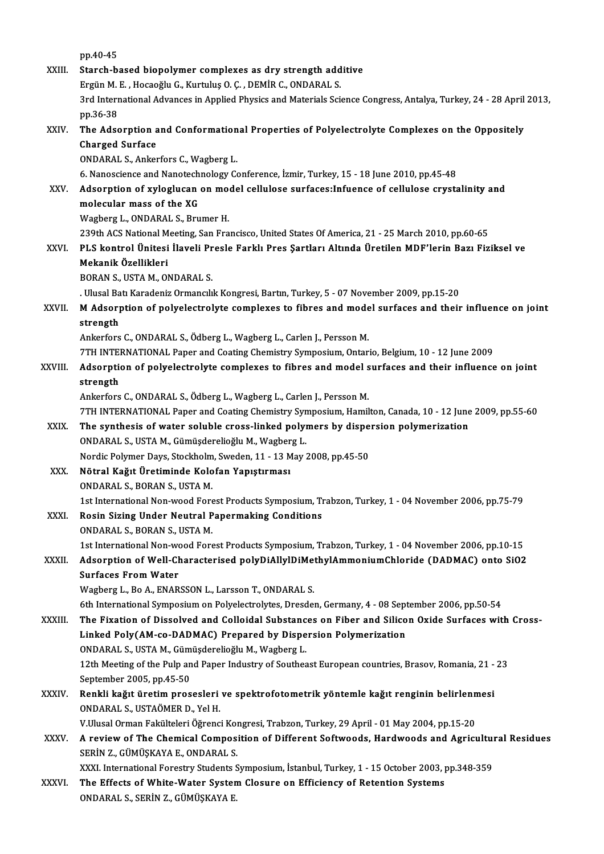|              | pp 40-45                                                                                                           |
|--------------|--------------------------------------------------------------------------------------------------------------------|
| XXIII.       | Starch-based biopolymer complexes as dry strength additive                                                         |
|              | Ergün M. E., Hocaoğlu G., Kurtuluş O. Ç., DEMİR C., ONDARAL S.                                                     |
|              | 3rd International Advances in Applied Physics and Materials Science Congress, Antalya, Turkey, 24 - 28 April 2013, |
|              | pp 36-38                                                                                                           |
| XXIV.        | The Adsorption and Conformational Properties of Polyelectrolyte Complexes on the Oppositely                        |
|              | <b>Charged Surface</b>                                                                                             |
|              | ONDARAL S., Ankerfors C., Wagberg L.                                                                               |
|              | 6. Nanoscience and Nanotechnology Conference, İzmir, Turkey, 15 - 18 June 2010, pp.45-48                           |
| XXV          | Adsorption of xyloglucan on model cellulose surfaces: Infuence of cellulose crystalinity and                       |
|              | molecular mass of the XG                                                                                           |
|              | Wagberg L., ONDARAL S., Brumer H.                                                                                  |
|              | 239th ACS National Meeting, San Francisco, United States Of America, 21 - 25 March 2010, pp.60-65                  |
| XXVI.        | PLS kontrol Ünitesi İlaveli Presle Farklı Pres Şartları Altında Üretilen MDF'lerin Bazı Fiziksel ve                |
|              | Mekanik Özellikleri                                                                                                |
|              | BORAN S., USTA M., ONDARAL S.                                                                                      |
|              | . Ulusal Batı Karadeniz Ormancılık Kongresi, Bartın, Turkey, 5 - 07 November 2009, pp.15-20                        |
| XXVII.       | M Adsorption of polyelectrolyte complexes to fibres and model surfaces and their influence on joint                |
|              | strength                                                                                                           |
|              | Ankerfors C., ONDARAL S., Ödberg L., Wagberg L., Carlen J., Persson M.                                             |
|              | 7TH INTERNATIONAL Paper and Coating Chemistry Symposium, Ontario, Belgium, 10 - 12 June 2009                       |
| XXVIII.      | Adsorption of polyelectrolyte complexes to fibres and model surfaces and their influence on joint                  |
|              | strength                                                                                                           |
|              | Ankerfors C., ONDARAL S., Ödberg L., Wagberg L., Carlen J., Persson M.                                             |
|              | 7TH INTERNATIONAL Paper and Coating Chemistry Symposium, Hamilton, Canada, 10 - 12 June 2009, pp.55-60             |
| XXIX.        | The synthesis of water soluble cross-linked polymers by dispersion polymerization                                  |
|              | ONDARAL S., USTA M., Gümüşderelioğlu M., Wagberg L.                                                                |
| XXX.         | Nordic Polymer Days, Stockholm, Sweden, 11 - 13 May 2008, pp 45-50<br>Nötral Kağıt Üretiminde Kolofan Yapıştırması |
|              | ONDARAL S. BORAN S. USTA M.                                                                                        |
|              | 1st International Non-wood Forest Products Symposium, Trabzon, Turkey, 1 - 04 November 2006, pp.75-79              |
| XXXI.        | Rosin Sizing Under Neutral Papermaking Conditions                                                                  |
|              | ONDARAL S., BORAN S., USTA M.                                                                                      |
|              | 1st International Non-wood Forest Products Symposium, Trabzon, Turkey, 1 - 04 November 2006, pp.10-15              |
| XXXII.       | Adsorption of Well-Characterised polyDiAllylDiMethylAmmoniumChloride (DADMAC) onto SiO2                            |
|              | <b>Surfaces From Water</b>                                                                                         |
|              | Wagberg L., Bo A., ENARSSON L., Larsson T., ONDARAL S.                                                             |
|              | 6th International Symposium on Polyelectrolytes, Dresden, Germany, 4 - 08 September 2006, pp.50-54                 |
| XXXIII.      | The Fixation of Dissolved and Colloidal Substances on Fiber and Silicon Oxide Surfaces with Cross-                 |
|              | Linked Poly(AM-co-DADMAC) Prepared by Dispersion Polymerization                                                    |
|              | ONDARAL S., USTA M., Gümüşderelioğlu M., Wagberg L.                                                                |
|              | 12th Meeting of the Pulp and Paper Industry of Southeast European countries, Brasov, Romania, 21 - 23              |
|              | September 2005, pp 45-50                                                                                           |
| <b>XXXIV</b> | Renkli kağıt üretim prosesleri ve spektrofotometrik yöntemle kağıt renginin belirlenmesi                           |
|              | ONDARAL S., USTAÖMER D., Yel H.                                                                                    |
|              | V.Ulusal Orman Fakülteleri Öğrenci Kongresi, Trabzon, Turkey, 29 April - 01 May 2004, pp.15-20                     |
| XXXV.        | A review of The Chemical Composition of Different Softwoods, Hardwoods and Agricultural Residues                   |
|              | SERİN Z., GÜMÜŞKAYA E., ONDARAL S.                                                                                 |
|              | XXXI. International Forestry Students Symposium, İstanbul, Turkey, 1 - 15 October 2003, pp.348-359                 |
| XXXVI.       | The Effects of White-Water System Closure on Efficiency of Retention Systems                                       |
|              | ONDARAL S., SERİN Z., GÜMÜŞKAYA E.                                                                                 |
|              |                                                                                                                    |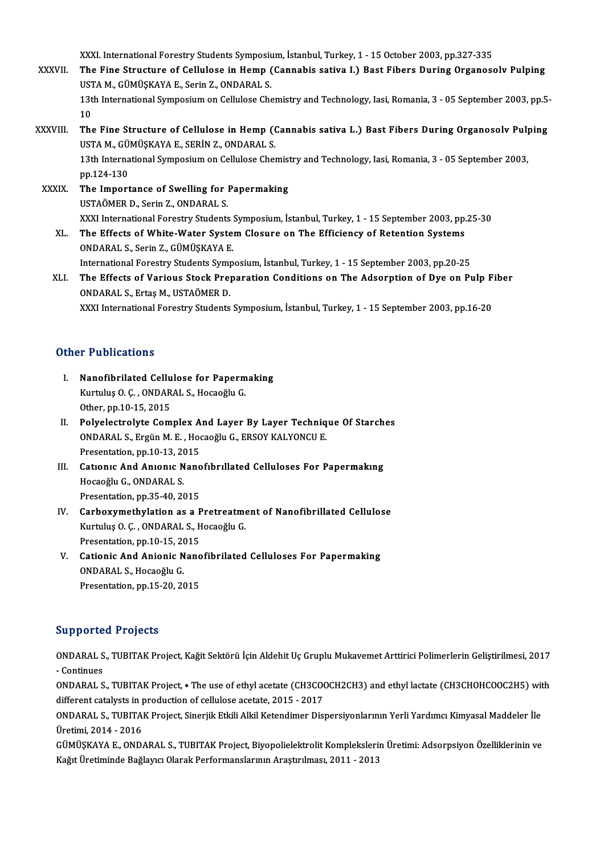XXXI. International Forestry Students Symposium, İstanbul, Turkey, 1 - 15 October 2003, pp.327-335<br>The Fine Structure of Colluloge in Hamn (Connebis estive J.) Boet Fibers During Oxganess

- XXXVII. The Fine Structure of Cellulose in Hemp (Cannabis sativa I.) Bast Fibers During Organosolv Pulping XXXI. International Forestry Students Symposium<br>The Fine Structure of Cellulose in Hemp (<br>USTA M., GÜMÜŞKAYA E., Serin Z., ONDARAL S.<br>12th International Symposium on Cellulose Che 13th International Symposium on Cellulose Chemistry and Technology, Iasi, Romania, 3 - 05 September 2003, pp.5-<br>10 USTA M., GÜMÜSKAYA E., Serin Z., ONDARAL S. 13th International Symposium on Cellulose Chemistry and Technology, Iasi, Romania, 3 - 05 September 2003, pp.5-<br>10<br>XXXVIII. The Fine Structure of Cellulose in Hemp (Cannabis sativa L.) Bast Fibers During Organosolv Pulping
- 10<br>The Fine Structure of Cellulose in Hemp ((<br>USTA M., GÜMÜŞKAYA E., SERİN Z., ONDARAL S.<br>12th International Sumnosium en Cellulose Chel The Fine Structure of Cellulose in Hemp (Cannabis sativa L.) Bast Fibers During Organosolv Pul<sub>l</sub><br>USTA M., GÜMÜŞKAYA E., SERİN Z., ONDARAL S.<br>13th International Symposium on Cellulose Chemistry and Technology, Iasi, Romani USTA M., GÜ<br>13th Interna<br>pp.124-130<br>The Imnert

13th International Symposium on Cellulose Chemist<br>pp.124-130<br>XXXIX. The Importance of Swelling for Papermaking<br>USTAÖMER D. Sorin Z. ONDARALS pp.124-130<br>The Importance of Swelling for 1<br>USTAÖMER D., Serin Z., ONDARAL S.<br>YYYI International Ferestry Students USTAÖMER D., Serin Z., ONDARAL S.<br>XXXI International Forestry Students Symposium, İstanbul, Turkey, 1 - 15 September 2003, pp.25-30

XL. The Effects ofWhite-Water SystemClosure on The Efficiency of Retention Systems ONDARAL S., Serin Z., GÜMÜŞKAYA E. The Effects of White-Water System Closure on The Efficiency of Retention Systems<br>ONDARAL S., Serin Z., GÜMÜŞKAYA E.<br>International Forestry Students Symposium, İstanbul, Turkey, 1 - 15 September 2003, pp.20-25<br>The Effects o

ONDARAL S., Serin Z., GÜMÜŞKAYA E.<br>International Forestry Students Symposium, İstanbul, Turkey, 1 - 15 September 2003, pp.20-25<br>XLI. The Effects of Various Stock Preparation Conditions on The Adsorption of Dye on Pulp International Forestry Students Symp<br>The Effects of Various Stock Prep<br>ONDARAL S., Ertaş M., USTAÖMER D.<br>YYYI International Forestry Students The Effects of Various Stock Preparation Conditions on The Adsorption of Dye on Pulp F<br>ONDARAL S., Ertaş M., USTAÖMER D.<br>XXXI International Forestry Students Symposium, İstanbul, Turkey, 1 - 15 September 2003, pp.16-20 XXXI International Forestry Students Symposium, İstanbul, Turkey, 1 - 15 September 2003, pp.16-20<br>Other Publications

- I. Nanofibrilated Cellulose for Papermaking r r abrications<br>Nanofibrilated Cellulose for Paperm<br>Kurtuluş O. Ç. , ONDARAL S., Hocaoğlu G.<br>Other nn 10 15 2015 Nanofibrilated Cellu<br>Kurtuluş O. Ç. , ONDAR<br>Other, pp.10-15, 2015<br>Polyolostrolyte Com
- Kurtuluş O. Ç., ONDARAL S., Hocaoğlu G.<br>Other, pp.10-15, 2015<br>II. Polyelectrolyte Complex And Layer By Layer Technique Of Starches<br>ONDARAL S. Ergün M. E., Hocaoğlu C. ERSOV KALVONCU E. Other, pp.10-15, 2015<br>Polyelectrolyte Complex And Layer By Layer Techniq<br>ONDARAL S., Ergün M. E. , Hocaoğlu G., ERSOY KALYONCU E.<br>Presentation nn 10,12, 2015 Polyelectrolyte Complex A<br>ONDARAL S., Ergün M. E., Hoo<br>Presentation, pp.10-13, 2015 ONDARAL S., Ergün M. E., Hocaoğlu G., ERSOY KALYONCU E.<br>Presentation, pp.10-13, 2015<br>III. Cationic And Anionic Nanofibrillated Celluloses For Papermaking<br>Hoseoğlu C. ONDARAL S.
- Presentation, pp.10-13, 2015<br>Cationic And Anionic Nano<br>Hocaoğlu G., ONDARAL S.<br>Presentation, pp.35-40, 2015 Cationic And Anionic Nano<br>Hocaoğlu G., ONDARAL S.<br>Presentation, pp.35-40, 2015<br>Carbowwrathylation as a B Hocaoğlu G., ONDARAL S.<br>Presentation, pp.35-40, 2015<br>IV. Carboxymethylation as a Pretreatment of Nanofibrillated Cellulose
- Presentation, pp.35-40, 2015<br>Carboxymethylation as a Pretreatme<br>Kurtuluş O. Ç. , ONDARAL S., Hocaoğlu G.<br>Presentation np.10.15, 2015 Carboxymethylation as a P<br>Kurtuluş O. Ç. , ONDARAL S., H<br>Presentation, pp.10-15, 2015<br>Cationis And Anionis None Kurtuluş O. Ç. , ONDARAL S., Hocaoğlu G.<br>Presentation, pp.10-15, 2015<br>V. Cationic And Anionic Nanofibrilated Celluloses For Papermaking<br>ONDARAL S. Hosaoğlu G.
- Presentation, pp.10-15, 20<br>Cationic And Anionic N<br>ONDARAL S., Hocaoğlu G.<br>Presentation nn 15-20-20 Cationic And Anionic Nano<br>ONDARAL S., Hocaoğlu G.<br>Presentation, pp.15-20, 2015 Presentation, pp.15-20, 2015<br>Supported Projects

**Supported Projects**<br>ONDARAL S., TUBITAK Project, Kağit Sektörü İçin Aldehit Uç Gruplu Mukavemet Arttirici Polimerlerin Geliştirilmesi, 2017<br>Centinues ONDARAL S<br>- Continues<br>ONDARAL S ONDARAL S., TUBITAK Project, Kağit Sektörü İçin Aldehit Uç Gruplu Mukavemet Arttirici Polimerlerin Geliştirilmesi, 2017<br>- Continues<br>ONDARAL S., TUBITAK Project, • The use of ethyl acetate (CH3COOCH2CH3) and ethyl lactate (

- Continues<br>ONDARAL S., TUBITAK Project, • The use of ethyl acetate (CH3COOCH2CH3) and ethyl lactate (CH3CHOHCOOC2H5) with<br>different catalysts in production of cellulose acetate, 2015 - 2017 ONDARAL S., TUBITAK Project, • The use of ethyl acetate (CH3COOCH2CH3) and ethyl lactate (CH3CHOHCOOC2H5) wit<br>different catalysts in production of cellulose acetate, 2015 - 2017<br>ONDARAL S., TUBITAK Project, Sinerjik Etkili

different catalysts in p<br>ONDARAL S., TUBITAl<br>Üretimi, 2014 - 2016<br>CÜMÜSKAVA E. OND. ONDARAL S., TUBITAK Project, Sinerjik Etkili Alkil Ketendimer Dispersiyonlarının Yerli Yardımcı Kimyasal Maddeler İle<br>Üretimi, 2014 - 2016<br>GÜMÜŞKAYA E., ONDARAL S., TUBITAK Project, Biyopolielektrolit Komplekslerin Üretimi

Üretimi, 2014 - 2016<br>GÜMÜŞKAYA E., ONDARAL S., TUBITAK Project, Biyopolielektrolit Komplekslerin Üretimi: Adsorpsiyon Özelliklerinin ve<br>Kağıt Üretiminde Bağlayıcı Olarak Performanslarının Araştırılması, 2011 - 2013